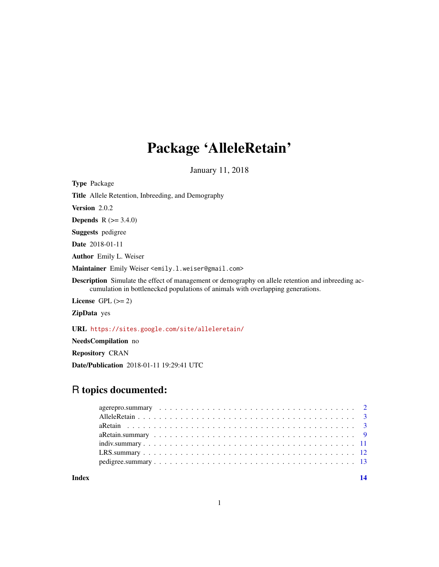## Package 'AlleleRetain'

January 11, 2018

Type Package

Title Allele Retention, Inbreeding, and Demography Version 2.0.2 **Depends**  $R$  ( $>= 3.4.0$ ) Suggests pedigree Date 2018-01-11 Author Emily L. Weiser Maintainer Emily Weiser <emily.l.weiser@gmail.com> Description Simulate the effect of management or demography on allele retention and inbreeding accumulation in bottlenecked populations of animals with overlapping generations. License GPL  $(>= 2)$ ZipData yes

URL <https://sites.google.com/site/alleleretain/>

NeedsCompilation no

Repository CRAN

Date/Publication 2018-01-11 19:29:41 UTC

## R topics documented:

**Index** 2008 **[14](#page-13-0)** 

1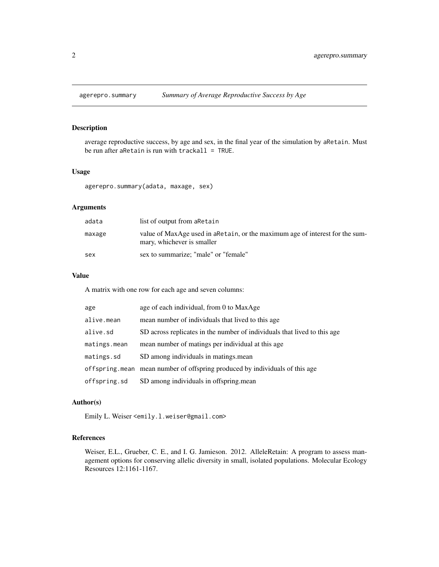<span id="page-1-0"></span>

average reproductive success, by age and sex, in the final year of the simulation by aRetain. Must be run after a $Retain$  is run with  $trackall = TRUE$ .

#### Usage

agerepro.summary(adata, maxage, sex)

## Arguments

| adata  | list of output from a Retain                                                                                |
|--------|-------------------------------------------------------------------------------------------------------------|
| maxage | value of MaxAge used in a Retain, or the maximum age of interest for the sum-<br>mary, whichever is smaller |
| sex    | sex to summarize; "male" or "female"                                                                        |

## Value

A matrix with one row for each age and seven columns:

| age          | age of each individual, from 0 to MaxAge                                     |
|--------------|------------------------------------------------------------------------------|
| alive.mean   | mean number of individuals that lived to this age                            |
| alive.sd     | SD across replicates in the number of individuals that lived to this age     |
| matings.mean | mean number of matings per individual at this age.                           |
| matings.sd   | SD among individuals in matings mean                                         |
|              | offspring, mean mean number of offspring produced by individuals of this age |
| offspring.sd | SD among individuals in offspring mean                                       |

#### Author(s)

Emily L. Weiser <emily.l.weiser@gmail.com>

## References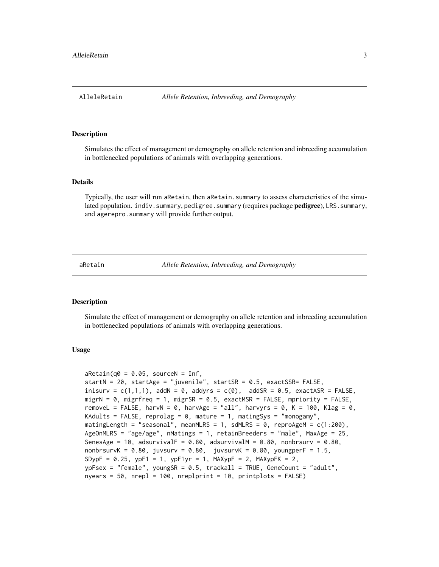<span id="page-2-0"></span>

Simulates the effect of management or demography on allele retention and inbreeding accumulation in bottlenecked populations of animals with overlapping generations.

## Details

Typically, the user will run aRetain, then aRetain.summary to assess characteristics of the simulated population. indiv. summary, pedigree. summary (requires package **pedigree**), LRS. summary, and agerepro. summary will provide further output.

aRetain *Allele Retention, Inbreeding, and Demography*

#### Description

Simulate the effect of management or demography on allele retention and inbreeding accumulation in bottlenecked populations of animals with overlapping generations.

#### Usage

```
aRetain(q0 = 0.05, sourceN = Inf,
startN = 20, startAge = "juvenile", startSR = 0.5, exactSSR= FALSE,
inisurv = c(1,1,1), addN = 0, addyrs = c(0), addSR = 0.5, exactASR = FALSE,
migrN = 0, migrfreq = 1, migrSR = 0.5, exactMSR = FALSE, mpriority = FALSE,
removeL = FALSE, harvN = 0, harvAge = "all", harvyrs = 0, K = 100, Klag = 0,
KAdults = FALSE, reprolag = 0, mature = 1, matingSys = "monogamy",
matingLength = "seasonal", meanMLRS = 1, sdMLRS = 0, reproAgeM = c(1:200),
AgeOnMLRS = "age/age", nMatings = 1, retainBreeders = "male", MaxAge = 25,
SenesAge = 10, adsurvivalF = 0.80, adsurvivalM = 0.80, nonbrsurv = 0.80,
nonbrsurvK = 0.80, juvsurv = 0.80, juvsurvK = 0.80, youngperF = 1.5,
SDypF = 0.25, ypF1 = 1, ypF1yr = 1, MAXypF = 2, MAXypFK = 2,
ypFsex = "female", youngSR = 0.5, trackall = TRUE, GeneCount = "adult",
nyears = 50, nrepl = 100, nreplprint = 10, printplots = FALSE)
```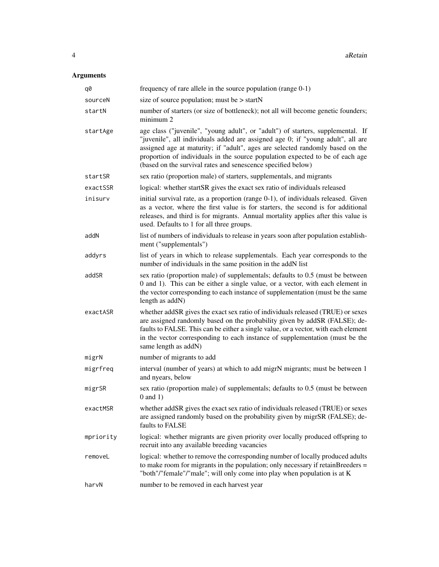## Arguments

| q0        | frequency of rare allele in the source population (range $0-1$ )                                                                                                                                                                                                                                                                                                                                     |
|-----------|------------------------------------------------------------------------------------------------------------------------------------------------------------------------------------------------------------------------------------------------------------------------------------------------------------------------------------------------------------------------------------------------------|
| sourceN   | size of source population; must be $>$ startN                                                                                                                                                                                                                                                                                                                                                        |
| startN    | number of starters (or size of bottleneck); not all will become genetic founders;<br>minimum 2                                                                                                                                                                                                                                                                                                       |
| startAge  | age class ("juvenile", "young adult", or "adult") of starters, supplemental. If<br>"juvenile", all individuals added are assigned age 0; if "young adult", all are<br>assigned age at maturity; if "adult", ages are selected randomly based on the<br>proportion of individuals in the source population expected to be of each age<br>(based on the survival rates and senescence specified below) |
| startSR   | sex ratio (proportion male) of starters, supplementals, and migrants                                                                                                                                                                                                                                                                                                                                 |
| exactSSR  | logical: whether startSR gives the exact sex ratio of individuals released                                                                                                                                                                                                                                                                                                                           |
| inisurv   | initial survival rate, as a proportion (range 0-1), of individuals released. Given<br>as a vector, where the first value is for starters, the second is for additional<br>releases, and third is for migrants. Annual mortality applies after this value is<br>used. Defaults to 1 for all three groups.                                                                                             |
| addN      | list of numbers of individuals to release in years soon after population establish-<br>ment ("supplementals")                                                                                                                                                                                                                                                                                        |
| addyrs    | list of years in which to release supplementals. Each year corresponds to the<br>number of individuals in the same position in the addN list                                                                                                                                                                                                                                                         |
| addSR     | sex ratio (proportion male) of supplementals; defaults to 0.5 (must be between<br>0 and 1). This can be either a single value, or a vector, with each element in<br>the vector corresponding to each instance of supplementation (must be the same<br>length as addN)                                                                                                                                |
| exactASR  | whether addSR gives the exact sex ratio of individuals released (TRUE) or sexes<br>are assigned randomly based on the probability given by addSR (FALSE); de-<br>faults to FALSE. This can be either a single value, or a vector, with each element<br>in the vector corresponding to each instance of supplementation (must be the<br>same length as addN)                                          |
| migrN     | number of migrants to add                                                                                                                                                                                                                                                                                                                                                                            |
| migrfreq  | interval (number of years) at which to add migrN migrants; must be between 1<br>and nyears, below                                                                                                                                                                                                                                                                                                    |
| migrSR    | sex ratio (proportion male) of supplementals; defaults to 0.5 (must be between<br>$0$ and $1)$                                                                                                                                                                                                                                                                                                       |
| exactMSR  | whether addSR gives the exact sex ratio of individuals released (TRUE) or sexes<br>are assigned randomly based on the probability given by migrSR (FALSE); de-<br>faults to FALSE                                                                                                                                                                                                                    |
| mpriority | logical: whether migrants are given priority over locally produced offspring to<br>recruit into any available breeding vacancies                                                                                                                                                                                                                                                                     |
| removeL   | logical: whether to remove the corresponding number of locally produced adults<br>to make room for migrants in the population; only necessary if retainBreeders $=$<br>"both"/"female"/"male"; will only come into play when population is at K                                                                                                                                                      |
| harvN     | number to be removed in each harvest year                                                                                                                                                                                                                                                                                                                                                            |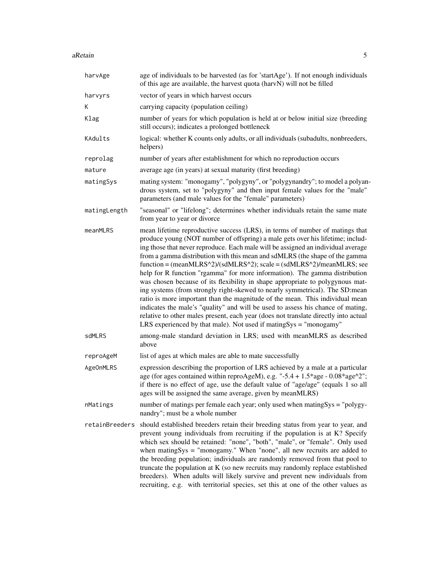| harvAge        | age of individuals to be harvested (as for 'startAge'). If not enough individuals<br>of this age are available, the harvest quota (harvN) will not be filled                                                                                                                                                                                                                                                                                                                                                                                                                                                                                                                                                                                                                                                                                                                                                                                                                                    |  |
|----------------|-------------------------------------------------------------------------------------------------------------------------------------------------------------------------------------------------------------------------------------------------------------------------------------------------------------------------------------------------------------------------------------------------------------------------------------------------------------------------------------------------------------------------------------------------------------------------------------------------------------------------------------------------------------------------------------------------------------------------------------------------------------------------------------------------------------------------------------------------------------------------------------------------------------------------------------------------------------------------------------------------|--|
| harvyrs        | vector of years in which harvest occurs                                                                                                                                                                                                                                                                                                                                                                                                                                                                                                                                                                                                                                                                                                                                                                                                                                                                                                                                                         |  |
| K              | carrying capacity (population ceiling)                                                                                                                                                                                                                                                                                                                                                                                                                                                                                                                                                                                                                                                                                                                                                                                                                                                                                                                                                          |  |
| Klag           | number of years for which population is held at or below initial size (breeding<br>still occurs); indicates a prolonged bottleneck                                                                                                                                                                                                                                                                                                                                                                                                                                                                                                                                                                                                                                                                                                                                                                                                                                                              |  |
| KAdults        | logical: whether K counts only adults, or all individuals (subadults, nonbreeders,<br>helpers)                                                                                                                                                                                                                                                                                                                                                                                                                                                                                                                                                                                                                                                                                                                                                                                                                                                                                                  |  |
| reprolag       | number of years after establishment for which no reproduction occurs                                                                                                                                                                                                                                                                                                                                                                                                                                                                                                                                                                                                                                                                                                                                                                                                                                                                                                                            |  |
| mature         | average age (in years) at sexual maturity (first breeding)                                                                                                                                                                                                                                                                                                                                                                                                                                                                                                                                                                                                                                                                                                                                                                                                                                                                                                                                      |  |
| matingSys      | mating system: "monogamy", "polygyny", or "polygynandry"; to model a polyan-<br>drous system, set to "polygyny" and then input female values for the "male"<br>parameters (and male values for the "female" parameters)                                                                                                                                                                                                                                                                                                                                                                                                                                                                                                                                                                                                                                                                                                                                                                         |  |
| matingLength   | "seasonal" or "lifelong"; determines whether individuals retain the same mate<br>from year to year or divorce                                                                                                                                                                                                                                                                                                                                                                                                                                                                                                                                                                                                                                                                                                                                                                                                                                                                                   |  |
| meanMLRS       | mean lifetime reproductive success (LRS), in terms of number of matings that<br>produce young (NOT number of offspring) a male gets over his lifetime; includ-<br>ing those that never reproduce. Each male will be assigned an individual average<br>from a gamma distribution with this mean and sdMLRS (the shape of the gamma<br>$function = (meanMLRS^2)/(sdMLRS^2)$ ; scale = $(sdMLRS^2)/meanMLRS$ ; see<br>help for R function "rgamma" for more information). The gamma distribution<br>was chosen because of its flexibility in shape appropriate to polygynous mat-<br>ing systems (from strongly right-skewed to nearly symmetrical). The SD:mean<br>ratio is more important than the magnitude of the mean. This individual mean<br>indicates the male's "quality" and will be used to assess his chance of mating,<br>relative to other males present, each year (does not translate directly into actual<br>LRS experienced by that male). Not used if mating $Sys = "monogamy"$ |  |
| sdMLRS         | among-male standard deviation in LRS; used with meanMLRS as described<br>above                                                                                                                                                                                                                                                                                                                                                                                                                                                                                                                                                                                                                                                                                                                                                                                                                                                                                                                  |  |
| reproAgeM      | list of ages at which males are able to mate successfully                                                                                                                                                                                                                                                                                                                                                                                                                                                                                                                                                                                                                                                                                                                                                                                                                                                                                                                                       |  |
| AgeOnMLRS      | expression describing the proportion of LRS achieved by a male at a particular<br>age (for ages contained within reproAgeM), e.g. "-5.4 + 1.5*age - 0.08*age^2";<br>if there is no effect of age, use the default value of "age/age" (equals 1 so all<br>ages will be assigned the same average, given by meanMLRS)                                                                                                                                                                                                                                                                                                                                                                                                                                                                                                                                                                                                                                                                             |  |
| nMatings       | number of matings per female each year; only used when matingSys = "polygy-<br>nandry"; must be a whole number                                                                                                                                                                                                                                                                                                                                                                                                                                                                                                                                                                                                                                                                                                                                                                                                                                                                                  |  |
| retainBreeders | should established breeders retain their breeding status from year to year, and<br>prevent young individuals from recruiting if the population is at K? Specify<br>which sex should be retained: "none", "both", "male", or "female". Only used<br>when matingSys = "monogamy." When "none", all new recruits are added to<br>the breeding population; individuals are randomly removed from that pool to<br>truncate the population at $K$ (so new recruits may randomly replace established<br>breeders). When adults will likely survive and prevent new individuals from<br>recruiting, e.g. with territorial species, set this at one of the other values as                                                                                                                                                                                                                                                                                                                               |  |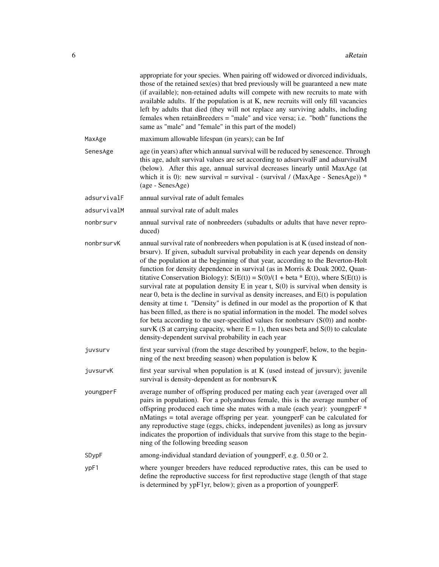|             | appropriate for your species. When pairing off widowed or divorced individuals,<br>those of the retained sex(es) that bred previously will be guaranteed a new mate<br>(if available); non-retained adults will compete with new recruits to mate with<br>available adults. If the population is at K, new recruits will only fill vacancies<br>left by adults that died (they will not replace any surviving adults, including<br>females when retainBreeders = "male" and vice versa; i.e. "both" functions the<br>same as "male" and "female" in this part of the model)                                                                                                                                                                                                                                                                                                                                                                                                                                                                      |
|-------------|--------------------------------------------------------------------------------------------------------------------------------------------------------------------------------------------------------------------------------------------------------------------------------------------------------------------------------------------------------------------------------------------------------------------------------------------------------------------------------------------------------------------------------------------------------------------------------------------------------------------------------------------------------------------------------------------------------------------------------------------------------------------------------------------------------------------------------------------------------------------------------------------------------------------------------------------------------------------------------------------------------------------------------------------------|
| MaxAge      | maximum allowable lifespan (in years); can be Inf                                                                                                                                                                                                                                                                                                                                                                                                                                                                                                                                                                                                                                                                                                                                                                                                                                                                                                                                                                                                |
| SenesAge    | age (in years) after which annual survival will be reduced by senescence. Through<br>this age, adult survival values are set according to adsurvivalF and adsurvivalM<br>(below). After this age, annual survival decreases linearly until MaxAge (at<br>which it is 0): new survival = survival - (survival / (MaxAge - SenesAge)) *<br>(age - SenesAge)                                                                                                                                                                                                                                                                                                                                                                                                                                                                                                                                                                                                                                                                                        |
| adsurvivalF | annual survival rate of adult females                                                                                                                                                                                                                                                                                                                                                                                                                                                                                                                                                                                                                                                                                                                                                                                                                                                                                                                                                                                                            |
| adsurvivalM | annual survival rate of adult males                                                                                                                                                                                                                                                                                                                                                                                                                                                                                                                                                                                                                                                                                                                                                                                                                                                                                                                                                                                                              |
| nonbrsurv   | annual survival rate of nonbreeders (subadults or adults that have never repro-<br>duced)                                                                                                                                                                                                                                                                                                                                                                                                                                                                                                                                                                                                                                                                                                                                                                                                                                                                                                                                                        |
| nonbrsurvK  | annual survival rate of nonbreeders when population is at K (used instead of non-<br>brsurv). If given, subadult survival probability in each year depends on density<br>of the population at the beginning of that year, according to the Beverton-Holt<br>function for density dependence in survival (as in Morris & Doak 2002, Quan-<br>titative Conservation Biology): $S(E(t)) = S(0)/(1 + \text{beta} * E(t))$ , where $S(E(t))$ is<br>survival rate at population density $E$ in year t, $S(0)$ is survival when density is<br>near $0$ , beta is the decline in survival as density increases, and $E(t)$ is population<br>density at time t. "Density" is defined in our model as the proportion of K that<br>has been filled, as there is no spatial information in the model. The model solves<br>for beta according to the user-specified values for nonbrsurv $(S(0))$ and nonbr-<br>survK (S at carrying capacity, where $E = 1$ ), then uses beta and $S(0)$ to calculate<br>density-dependent survival probability in each year |
| juvsurv     | first year survival (from the stage described by youngperF, below, to the begin-<br>ning of the next breeding season) when population is below K                                                                                                                                                                                                                                                                                                                                                                                                                                                                                                                                                                                                                                                                                                                                                                                                                                                                                                 |
| juvsurvK    | first year survival when population is at K (used instead of juvsurv); juvenile<br>survival is density-dependent as for nonbrsurvK                                                                                                                                                                                                                                                                                                                                                                                                                                                                                                                                                                                                                                                                                                                                                                                                                                                                                                               |
| youngperF   | average number of offspring produced per mating each year (averaged over all<br>pairs in population). For a polyandrous female, this is the average number of<br>offspring produced each time she mates with a male (each year): youngperF *<br>nMatings = total average offspring per year. youngperF can be calculated for<br>any reproductive stage (eggs, chicks, independent juveniles) as long as juvsurv<br>indicates the proportion of individuals that survive from this stage to the begin-<br>ning of the following breeding season                                                                                                                                                                                                                                                                                                                                                                                                                                                                                                   |
| SDypF       | among-individual standard deviation of youngperF, e.g. 0.50 or 2.                                                                                                                                                                                                                                                                                                                                                                                                                                                                                                                                                                                                                                                                                                                                                                                                                                                                                                                                                                                |
| ypF1        | where younger breeders have reduced reproductive rates, this can be used to<br>define the reproductive success for first reproductive stage (length of that stage<br>is determined by ypF1yr, below); given as a proportion of youngperF.                                                                                                                                                                                                                                                                                                                                                                                                                                                                                                                                                                                                                                                                                                                                                                                                        |
|             |                                                                                                                                                                                                                                                                                                                                                                                                                                                                                                                                                                                                                                                                                                                                                                                                                                                                                                                                                                                                                                                  |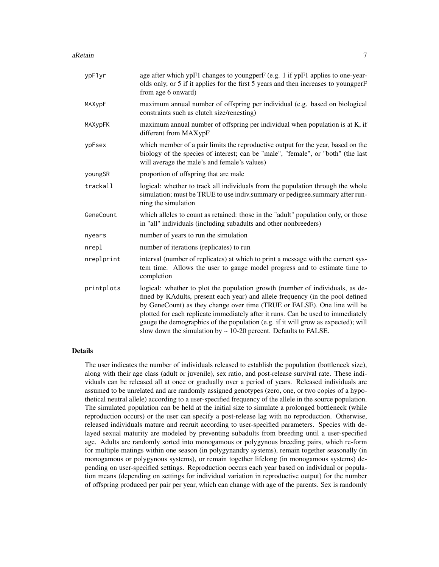#### aRetain  $\overline{7}$

| ypF1yr     | age after which ypF1 changes to youngperF (e.g. 1 if ypF1 applies to one-year-<br>olds only, or 5 if it applies for the first 5 years and then increases to youngperF<br>from age 6 onward)                                                                                                                                                                                                                                                                                                  |
|------------|----------------------------------------------------------------------------------------------------------------------------------------------------------------------------------------------------------------------------------------------------------------------------------------------------------------------------------------------------------------------------------------------------------------------------------------------------------------------------------------------|
| MAXypF     | maximum annual number of offspring per individual (e.g. based on biological<br>constraints such as clutch size/renesting)                                                                                                                                                                                                                                                                                                                                                                    |
| MAXypFK    | maximum annual number of offspring per individual when population is at K, if<br>different from MAXypF                                                                                                                                                                                                                                                                                                                                                                                       |
| ypFsex     | which member of a pair limits the reproductive output for the year, based on the<br>biology of the species of interest; can be "male", "female", or "both" (the last<br>will average the male's and female's values)                                                                                                                                                                                                                                                                         |
| youngSR    | proportion of offspring that are male                                                                                                                                                                                                                                                                                                                                                                                                                                                        |
| trackall   | logical: whether to track all individuals from the population through the whole<br>simulation; must be TRUE to use indiv.summary or pedigree.summary after run-<br>ning the simulation                                                                                                                                                                                                                                                                                                       |
| GeneCount  | which alleles to count as retained: those in the "adult" population only, or those<br>in "all" individuals (including subadults and other nonbreeders)                                                                                                                                                                                                                                                                                                                                       |
| nyears     | number of years to run the simulation                                                                                                                                                                                                                                                                                                                                                                                                                                                        |
| nrepl      | number of iterations (replicates) to run                                                                                                                                                                                                                                                                                                                                                                                                                                                     |
| nreplprint | interval (number of replicates) at which to print a message with the current sys-<br>tem time. Allows the user to gauge model progress and to estimate time to<br>completion                                                                                                                                                                                                                                                                                                                 |
| printplots | logical: whether to plot the population growth (number of individuals, as de-<br>fined by KAdults, present each year) and allele frequency (in the pool defined<br>by GeneCount) as they change over time (TRUE or FALSE). One line will be<br>plotted for each replicate immediately after it runs. Can be used to immediately<br>gauge the demographics of the population (e.g. if it will grow as expected); will<br>slow down the simulation by $\sim$ 10-20 percent. Defaults to FALSE. |

## Details

The user indicates the number of individuals released to establish the population (bottleneck size), along with their age class (adult or juvenile), sex ratio, and post-release survival rate. These individuals can be released all at once or gradually over a period of years. Released individuals are assumed to be unrelated and are randomly assigned genotypes (zero, one, or two copies of a hypothetical neutral allele) according to a user-specified frequency of the allele in the source population. The simulated population can be held at the initial size to simulate a prolonged bottleneck (while reproduction occurs) or the user can specify a post-release lag with no reproduction. Otherwise, released individuals mature and recruit according to user-specified parameters. Species with delayed sexual maturity are modeled by preventing subadults from breeding until a user-specified age. Adults are randomly sorted into monogamous or polygynous breeding pairs, which re-form for multiple matings within one season (in polygynandry systems), remain together seasonally (in monogamous or polygynous systems), or remain together lifelong (in monogamous systems) depending on user-specified settings. Reproduction occurs each year based on individual or population means (depending on settings for individual variation in reproductive output) for the number of offspring produced per pair per year, which can change with age of the parents. Sex is randomly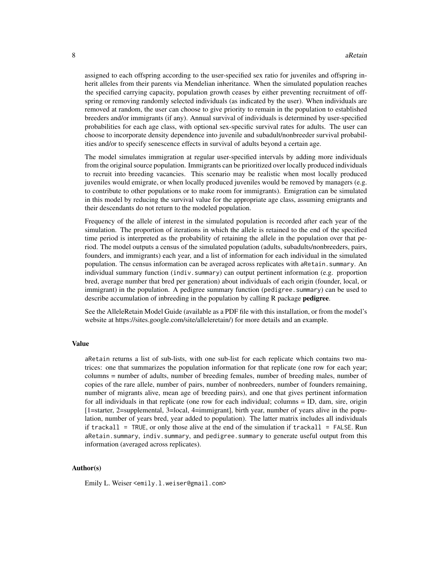assigned to each offspring according to the user-specified sex ratio for juveniles and offspring inherit alleles from their parents via Mendelian inheritance. When the simulated population reaches the specified carrying capacity, population growth ceases by either preventing recruitment of offspring or removing randomly selected individuals (as indicated by the user). When individuals are removed at random, the user can choose to give priority to remain in the population to established breeders and/or immigrants (if any). Annual survival of individuals is determined by user-specified probabilities for each age class, with optional sex-specific survival rates for adults. The user can choose to incorporate density dependence into juvenile and subadult/nonbreeder survival probabilities and/or to specify senescence effects in survival of adults beyond a certain age.

The model simulates immigration at regular user-specified intervals by adding more individuals from the original source population. Immigrants can be prioritized over locally produced individuals to recruit into breeding vacancies. This scenario may be realistic when most locally produced juveniles would emigrate, or when locally produced juveniles would be removed by managers (e.g. to contribute to other populations or to make room for immigrants). Emigration can be simulated in this model by reducing the survival value for the appropriate age class, assuming emigrants and their descendants do not return to the modeled population.

Frequency of the allele of interest in the simulated population is recorded after each year of the simulation. The proportion of iterations in which the allele is retained to the end of the specified time period is interpreted as the probability of retaining the allele in the population over that period. The model outputs a census of the simulated population (adults, subadults/nonbreeders, pairs, founders, and immigrants) each year, and a list of information for each individual in the simulated population. The census information can be averaged across replicates with aRetain. summary. An individual summary function (indiv.summary) can output pertinent information (e.g. proportion bred, average number that bred per generation) about individuals of each origin (founder, local, or immigrant) in the population. A pedigree summary function (pedigree.summary) can be used to describe accumulation of inbreeding in the population by calling R package **pedigree**.

See the AlleleRetain Model Guide (available as a PDF file with this installation, or from the model's website at https://sites.google.com/site/alleleretain/) for more details and an example.

#### Value

aRetain returns a list of sub-lists, with one sub-list for each replicate which contains two matrices: one that summarizes the population information for that replicate (one row for each year; columns = number of adults, number of breeding females, number of breeding males, number of copies of the rare allele, number of pairs, number of nonbreeders, number of founders remaining, number of migrants alive, mean age of breeding pairs), and one that gives pertinent information for all individuals in that replicate (one row for each individual; columns = ID, dam, sire, origin [1=starter, 2=supplemental, 3=local, 4=immigrant], birth year, number of years alive in the population, number of years bred, year added to population). The latter matrix includes all individuals if trackall = TRUE, or only those alive at the end of the simulation if trackall = FALSE. Run aRetain.summary, indiv.summary, and pedigree.summary to generate useful output from this information (averaged across replicates).

#### Author(s)

Emily L. Weiser <emily.l.weiser@gmail.com>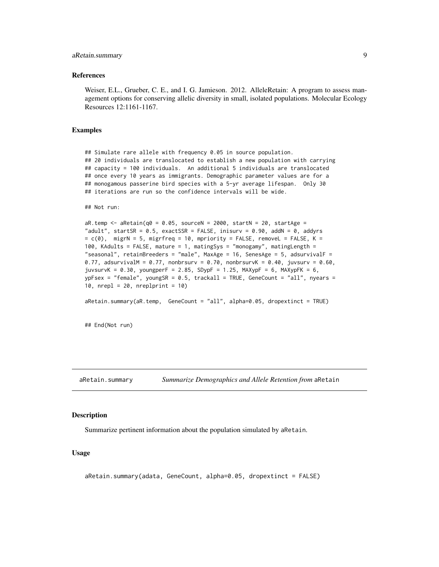## <span id="page-8-0"></span>aRetain.summary 9

#### References

Weiser, E.L., Grueber, C. E., and I. G. Jamieson. 2012. AlleleRetain: A program to assess management options for conserving allelic diversity in small, isolated populations. Molecular Ecology Resources 12:1161-1167.

#### Examples

## Simulate rare allele with frequency 0.05 in source population. ## 20 individuals are translocated to establish a new population with carrying ## capacity = 100 individuals. An additional 5 individuals are translocated ## once every 10 years as immigrants. Demographic parameter values are for a ## monogamous passerine bird species with a 5-yr average lifespan. Only 30 ## iterations are run so the confidence intervals will be wide.

```
## Not run:
```

```
aR.temp \leq aRetain(q0 = 0.05, sourceN = 2000, startN = 20, startAge =
"adult", startSR = 0.5, exactSSR = FALSE, inisurv = 0.90, addN = 0, addyrs
= c(0), migrN = 5, migrfreq = 10, mpriority = FALSE, removeL = FALSE, K =
100, KAdults = FALSE, mature = 1, matingSys = "monogamy", matingLength =
"seasonal", retainBreeders = "male", MaxAge = 16, SenesAge = 5, adsurvivalF =
0.77, adsurvivalM = 0.77, nonbrsurv = 0.70, nonbrsurvK = 0.40, juvsurv = 0.60,
juvsurvK = 0.30, youngperF = 2.85, SDypF = 1.25, MAXypF = 6, MAXypFK = 6,
vpFsex = "female", youngSR = 0.5, trackall = TRUE, GeneCount = "all", nyears =
10, nrep1 = 20, nrep1print = 10
```

```
aRetain.summary(aR.temp, GeneCount = "all", alpha=0.05, dropextinct = TRUE)
```
## End(Not run)

aRetain.summary *Summarize Demographics and Allele Retention from* aRetain

#### **Description**

Summarize pertinent information about the population simulated by aRetain.

#### Usage

```
aRetain.summary(adata, GeneCount, alpha=0.05, dropextinct = FALSE)
```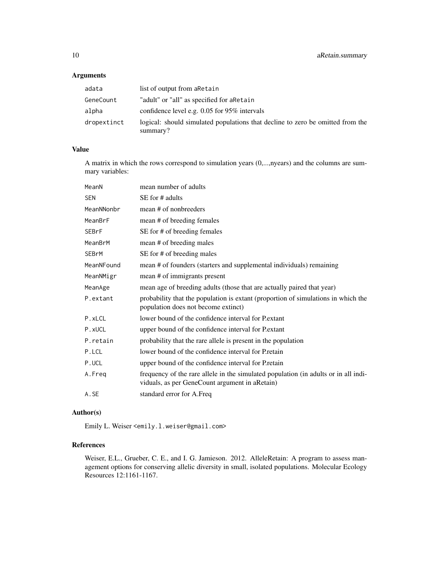## Arguments

| adata       | list of output from a Retain                                                               |
|-------------|--------------------------------------------------------------------------------------------|
| GeneCount   | "adult" or "all" as specified for aRetain                                                  |
| alpha       | confidence level e.g. $0.05$ for 95% intervals                                             |
| dropextinct | logical: should simulated populations that decline to zero be omitted from the<br>summary? |

## Value

A matrix in which the rows correspond to simulation years (0,...,nyears) and the columns are summary variables:

| MeanN        | mean number of adults                                                                                                                 |
|--------------|---------------------------------------------------------------------------------------------------------------------------------------|
| <b>SEN</b>   | SE for # adults                                                                                                                       |
| MeanNNonbr   | mean # of nonbreeders                                                                                                                 |
| MeanBrF      | mean # of breeding females                                                                                                            |
| SEBrF        | SE for # of breeding females                                                                                                          |
| MeanBrM      | mean # of breeding males                                                                                                              |
| <b>SEBrM</b> | SE for # of breeding males                                                                                                            |
| MeanNFound   | mean # of founders (starters and supplemental individuals) remaining                                                                  |
| MeanNMigr    | mean # of immigrants present                                                                                                          |
| MeanAge      | mean age of breeding adults (those that are actually paired that year)                                                                |
| P.extant     | probability that the population is extant (proportion of simulations in which the<br>population does not become extinct)              |
| P.xLCL       | lower bound of the confidence interval for Pextant                                                                                    |
| P.xUCL       | upper bound of the confidence interval for Pextant                                                                                    |
| P.retain     | probability that the rare allele is present in the population                                                                         |
| P.LCL        | lower bound of the confidence interval for Pretain                                                                                    |
| P.UCL        | upper bound of the confidence interval for Pretain                                                                                    |
| A.Freg       | frequency of the rare allele in the simulated population (in adults or in all indi-<br>viduals, as per GeneCount argument in aRetain) |
| A.SE         | standard error for A.Freq                                                                                                             |

## Author(s)

Emily L. Weiser <emily.l.weiser@gmail.com>

## References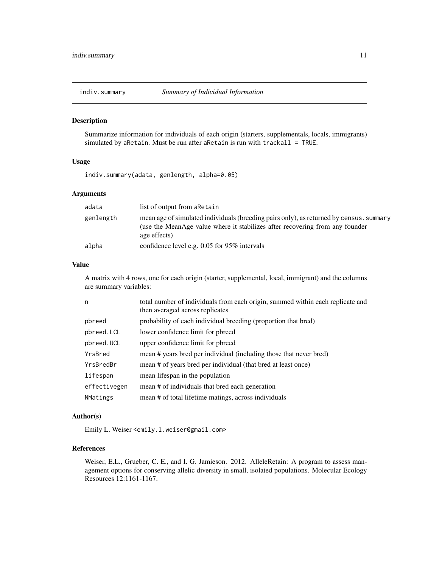<span id="page-10-0"></span>

Summarize information for individuals of each origin (starters, supplementals, locals, immigrants) simulated by aRetain. Must be run after aRetain is run with trackall = TRUE.

## Usage

indiv.summary(adata, genlength, alpha=0.05)

## Arguments

| adata     | list of output from a Retain                                                                                                                                                            |
|-----------|-----------------------------------------------------------------------------------------------------------------------------------------------------------------------------------------|
| genlength | mean age of simulated individuals (breeding pairs only), as returned by census. summary<br>(use the MeanAge value where it stabilizes after recovering from any founder<br>age effects) |
| alpha     | confidence level e.g. $0.05$ for 95% intervals                                                                                                                                          |

## Value

A matrix with 4 rows, one for each origin (starter, supplemental, local, immigrant) and the columns are summary variables:

| n            | total number of individuals from each origin, summed within each replicate and<br>then averaged across replicates |
|--------------|-------------------------------------------------------------------------------------------------------------------|
| pbreed       | probability of each individual breeding (proportion that bred)                                                    |
| pbreed. LCL  | lower confidence limit for pbreed                                                                                 |
| pbreed.UCL   | upper confidence limit for pbreed                                                                                 |
| YrsBred      | mean # years bred per individual (including those that never bred)                                                |
| YrsBredBr    | mean # of years bred per individual (that bred at least once)                                                     |
| lifespan     | mean lifespan in the population                                                                                   |
| effectivegen | mean # of individuals that bred each generation                                                                   |
| NMatings     | mean # of total lifetime matings, across individuals                                                              |

## Author(s)

Emily L. Weiser <emily.l.weiser@gmail.com>

## References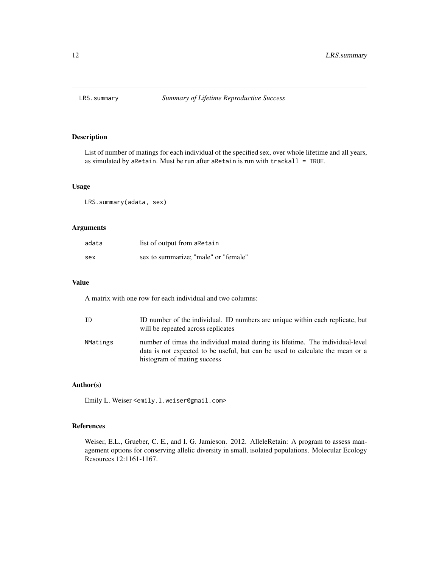<span id="page-11-0"></span>

List of number of matings for each individual of the specified sex, over whole lifetime and all years, as simulated by aRetain. Must be run after aRetain is run with trackall = TRUE.

## Usage

LRS.summary(adata, sex)

## Arguments

| adata | list of output from a Retain         |
|-------|--------------------------------------|
| sex   | sex to summarize; "male" or "female" |

#### Value

A matrix with one row for each individual and two columns:

| ID       | ID number of the individual. ID numbers are unique within each replicate, but<br>will be repeated across replicates                                                                            |
|----------|------------------------------------------------------------------------------------------------------------------------------------------------------------------------------------------------|
| NMatings | number of times the individual mated during its lifetime. The individual-level<br>data is not expected to be useful, but can be used to calculate the mean or a<br>histogram of mating success |

## Author(s)

Emily L. Weiser <emily.l.weiser@gmail.com>

## References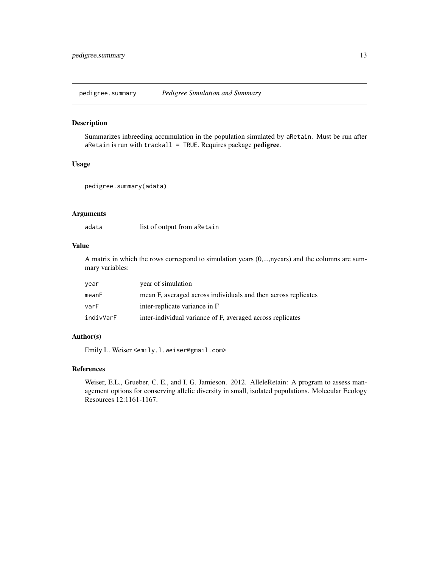<span id="page-12-0"></span>pedigree.summary *Pedigree Simulation and Summary*

## Description

Summarizes inbreeding accumulation in the population simulated by aRetain. Must be run after  $a$ Retain is run with trackall = TRUE. Requires package pedigree.

## Usage

```
pedigree.summary(adata)
```
## Arguments

adata list of output from aRetain

## Value

A matrix in which the rows correspond to simulation years (0,...,nyears) and the columns are summary variables:

| year      | year of simulation                                             |
|-----------|----------------------------------------------------------------|
| meanF     | mean F, averaged across individuals and then across replicates |
| varF      | inter-replicate variance in F                                  |
| indivVarF | inter-individual variance of F, averaged across replicates     |

## Author(s)

Emily L. Weiser <emily.l.weiser@gmail.com>

## References